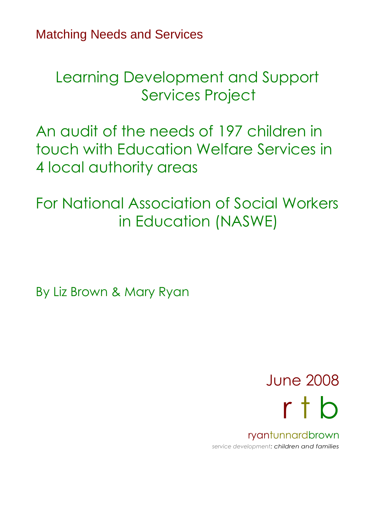Matching Needs and Services

Learning Development and Support Services Project

An audit of the needs of 197 children in touch with Education Welfare Services in 4 local authority areas

For National Association of Social Workers in Education (NASWE)

By Liz Brown & Mary Ryan

June 2008 r t b

ryantunnardbrown *service development: children and families*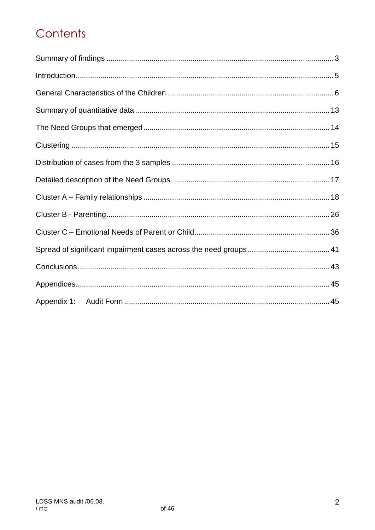## Contents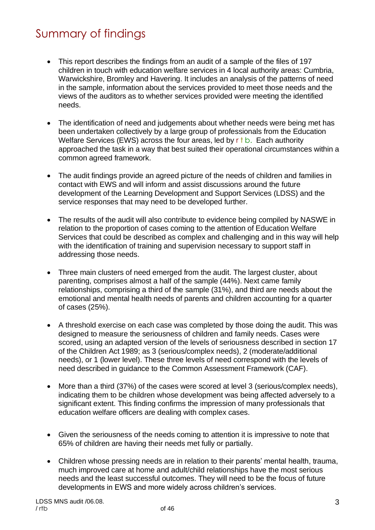## Summary of findings

- This report describes the findings from an audit of a sample of the files of 197 children in touch with education welfare services in 4 local authority areas: Cumbria, Warwickshire, Bromley and Havering. It includes an analysis of the patterns of need in the sample, information about the services provided to meet those needs and the views of the auditors as to whether services provided were meeting the identified needs.
- The identification of need and judgements about whether needs were being met has been undertaken collectively by a large group of professionals from the Education Welfare Services (EWS) across the four areas, led by  $r \dagger b$ . Each authority approached the task in a way that best suited their operational circumstances within a common agreed framework.
- The audit findings provide an agreed picture of the needs of children and families in contact with EWS and will inform and assist discussions around the future development of the Learning Development and Support Services (LDSS) and the service responses that may need to be developed further.
- The results of the audit will also contribute to evidence being compiled by NASWE in relation to the proportion of cases coming to the attention of Education Welfare Services that could be described as complex and challenging and in this way will help with the identification of training and supervision necessary to support staff in addressing those needs.
- Three main clusters of need emerged from the audit. The largest cluster, about parenting, comprises almost a half of the sample (44%). Next came family relationships, comprising a third of the sample (31%), and third are needs about the emotional and mental health needs of parents and children accounting for a quarter of cases (25%).
- A threshold exercise on each case was completed by those doing the audit. This was designed to measure the seriousness of children and family needs. Cases were scored, using an adapted version of the levels of seriousness described in section 17 of the Children Act 1989; as 3 (serious/complex needs), 2 (moderate/additional needs), or 1 (lower level). These three levels of need correspond with the levels of need described in guidance to the Common Assessment Framework (CAF).
- More than a third (37%) of the cases were scored at level 3 (serious/complex needs), indicating them to be children whose development was being affected adversely to a significant extent. This finding confirms the impression of many professionals that education welfare officers are dealing with complex cases.
- Given the seriousness of the needs coming to attention it is impressive to note that 65% of children are having their needs met fully or partially.
- Children whose pressing needs are in relation to their parents' mental health, trauma, much improved care at home and adult/child relationships have the most serious needs and the least successful outcomes. They will need to be the focus of future developments in EWS and more widely across children's services.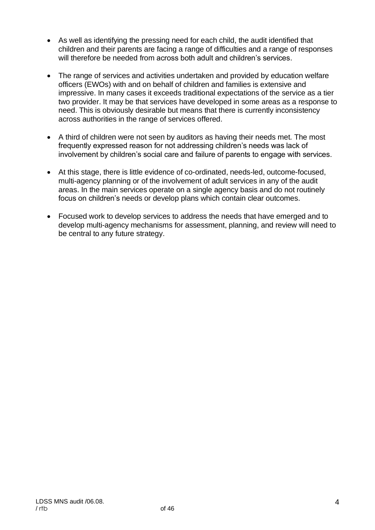- As well as identifying the pressing need for each child, the audit identified that children and their parents are facing a range of difficulties and a range of responses will therefore be needed from across both adult and children's services.
- The range of services and activities undertaken and provided by education welfare officers (EWOs) with and on behalf of children and families is extensive and impressive. In many cases it exceeds traditional expectations of the service as a tier two provider. It may be that services have developed in some areas as a response to need. This is obviously desirable but means that there is currently inconsistency across authorities in the range of services offered.
- A third of children were not seen by auditors as having their needs met. The most frequently expressed reason for not addressing children's needs was lack of involvement by children's social care and failure of parents to engage with services.
- At this stage, there is little evidence of co-ordinated, needs-led, outcome-focused, multi-agency planning or of the involvement of adult services in any of the audit areas. In the main services operate on a single agency basis and do not routinely focus on children's needs or develop plans which contain clear outcomes.
- Focused work to develop services to address the needs that have emerged and to develop multi-agency mechanisms for assessment, planning, and review will need to be central to any future strategy.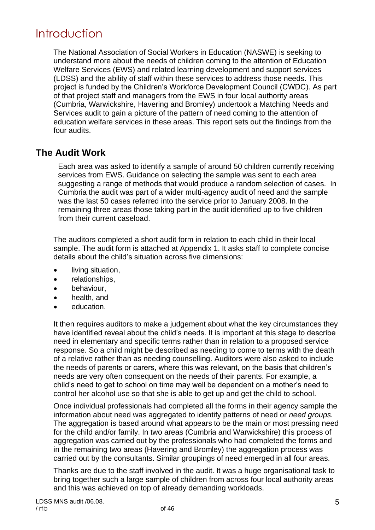## Introduction

The National Association of Social Workers in Education (NASWE) is seeking to understand more about the needs of children coming to the attention of Education Welfare Services (EWS) and related learning development and support services (LDSS) and the ability of staff within these services to address those needs. This project is funded by the Children's Workforce Development Council (CWDC). As part of that project staff and managers from the EWS in four local authority areas (Cumbria, Warwickshire, Havering and Bromley) undertook a Matching Needs and Services audit to gain a picture of the pattern of need coming to the attention of education welfare services in these areas. This report sets out the findings from the four audits.

### **The Audit Work**

Each area was asked to identify a sample of around 50 children currently receiving services from EWS. Guidance on selecting the sample was sent to each area suggesting a range of methods that would produce a random selection of cases. In Cumbria the audit was part of a wider multi-agency audit of need and the sample was the last 50 cases referred into the service prior to January 2008. In the remaining three areas those taking part in the audit identified up to five children from their current caseload.

The auditors completed a short audit form in relation to each child in their local sample. The audit form is attached at Appendix 1. It asks staff to complete concise details about the child's situation across five dimensions:

- living situation,
- relationships,
- behaviour,
- health, and
- education.

It then requires auditors to make a judgement about what the key circumstances they have identified reveal about the child's needs. It is important at this stage to describe need in elementary and specific terms rather than in relation to a proposed service response. So a child might be described as needing to come to terms with the death of a relative rather than as needing counselling. Auditors were also asked to include the needs of parents or carers, where this was relevant, on the basis that children's needs are very often consequent on the needs of their parents. For example, a child's need to get to school on time may well be dependent on a mother's need to control her alcohol use so that she is able to get up and get the child to school.

Once individual professionals had completed all the forms in their agency sample the information about need was aggregated to identify patterns of need or *need groups.* The aggregation is based around what appears to be the main or most pressing need for the child and/or family. In two areas (Cumbria and Warwickshire) this process of aggregation was carried out by the professionals who had completed the forms and in the remaining two areas (Havering and Bromley) the aggregation process was carried out by the consultants. Similar groupings of need emerged in all four areas.

Thanks are due to the staff involved in the audit. It was a huge organisational task to bring together such a large sample of children from across four local authority areas and this was achieved on top of already demanding workloads.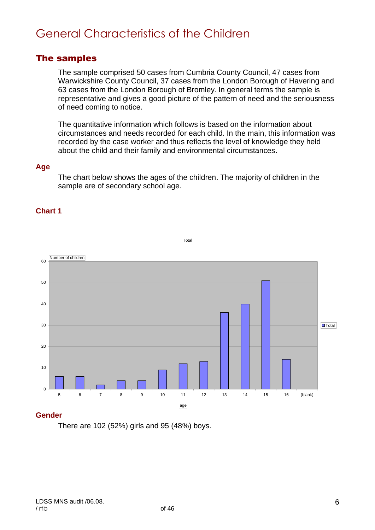## General Characteristics of the Children

### The samples

The sample comprised 50 cases from Cumbria County Council, 47 cases from Warwickshire County Council, 37 cases from the London Borough of Havering and 63 cases from the London Borough of Bromley. In general terms the sample is representative and gives a good picture of the pattern of need and the seriousness of need coming to notice.

The quantitative information which follows is based on the information about circumstances and needs recorded for each child. In the main, this information was recorded by the case worker and thus reflects the level of knowledge they held about the child and their family and environmental circumstances.

#### **Age**

The chart below shows the ages of the children. The majority of children in the sample are of secondary school age.

Total

#### **Chart 1**



#### **Gender**

There are 102 (52%) girls and 95 (48%) boys.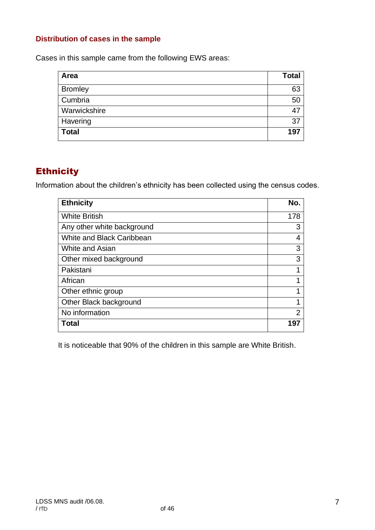#### **Distribution of cases in the sample**

Cases in this sample came from the following EWS areas:

| Area           | <b>Total</b> |
|----------------|--------------|
| <b>Bromley</b> | 63           |
| Cumbria        | 50           |
| Warwickshire   | -47          |
| Havering       | 37           |
| <b>Total</b>   | 197          |

## **Ethnicity**

Information about the children's ethnicity has been collected using the census codes.

| <b>Ethnicity</b>                 | No. |
|----------------------------------|-----|
| <b>White British</b>             | 178 |
| Any other white background       | 3   |
| <b>White and Black Caribbean</b> | 4   |
| White and Asian                  | 3   |
| Other mixed background           | 3   |
| Pakistani                        | 1   |
| African                          |     |
| Other ethnic group               | 1   |
| Other Black background           | 1   |
| No information                   | 2   |
| Total                            | 197 |

It is noticeable that 90% of the children in this sample are White British.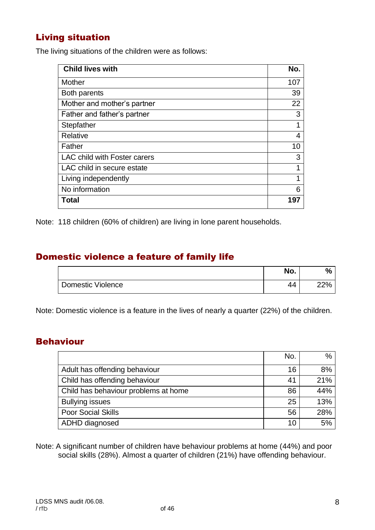### Living situation

The living situations of the children were as follows:

| <b>Child lives with</b>      | No. |
|------------------------------|-----|
| Mother                       | 107 |
| Both parents                 | 39  |
| Mother and mother's partner  | 22  |
| Father and father's partner  | 3   |
| Stepfather                   | 1   |
| Relative                     | 4   |
| Father                       | 10  |
| LAC child with Foster carers | 3   |
| LAC child in secure estate   | 1   |
| Living independently         | 1   |
| No information               | 6   |
| <b>Total</b>                 | 197 |

Note: 118 children (60% of children) are living in lone parent households.

### Domestic violence a feature of family life

|                   | No. | n.   |
|-------------------|-----|------|
| Domestic Violence | 44  | ,סרי |

Note: Domestic violence is a feature in the lives of nearly a quarter (22%) of the children.

#### Behaviour

|                                      | No. | $\%$ |
|--------------------------------------|-----|------|
| Adult has offending behaviour        | 16  | 8%   |
| Child has offending behaviour        | 41  | 21%  |
| Child has behaviour problems at home | 86  | 44%  |
| <b>Bullying issues</b>               | 25  | 13%  |
| <b>Poor Social Skills</b>            | 56  | 28%  |
| ADHD diagnosed                       | 10  | 5%   |

Note: A significant number of children have behaviour problems at home (44%) and poor social skills (28%). Almost a quarter of children (21%) have offending behaviour.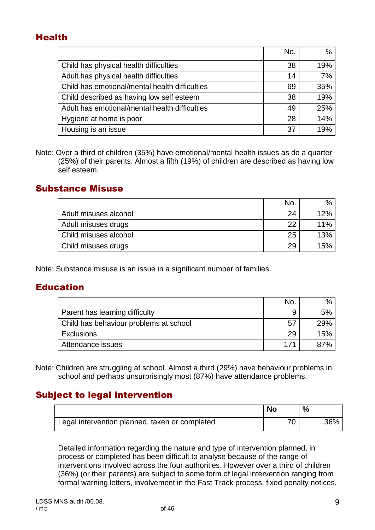### Health

|                                                | No. | $\%$ |
|------------------------------------------------|-----|------|
| Child has physical health difficulties         | 38  | 19%  |
| Adult has physical health difficulties         | 14  | 7%   |
| Child has emotional/mental health difficulties | 69  | 35%  |
| Child described as having low self esteem      | 38  | 19%  |
| Adult has emotional/mental health difficulties | 49  | 25%  |
| Hygiene at home is poor                        | 28  | 14%  |
| Housing is an issue                            | 37  | 19%  |

Note: Over a third of children (35%) have emotional/mental health issues as do a quarter (25%) of their parents. Almost a fifth (19%) of children are described as having low self esteem.

### Substance Misuse

|                       | No | $\frac{0}{0}$ |
|-----------------------|----|---------------|
| Adult misuses alcohol | 24 | 12%           |
| Adult misuses drugs   | າາ | 11%           |
| Child misuses alcohol | 25 | 13%           |
| Child misuses drugs   | 29 | 15%           |

Note: Substance misuse is an issue in a significant number of families.

### **Education**

|                                        | No | $\%$ |
|----------------------------------------|----|------|
| Parent has learning difficulty         |    | 5%   |
| Child has behaviour problems at school | 5. | 29%  |
| <b>Exclusions</b>                      | 29 | 15%  |
| Attendance issues                      |    |      |

Note: Children are struggling at school. Almost a third (29%) have behaviour problems in school and perhaps unsurprisingly most (87%) have attendance problems.

### Subject to legal intervention

|                                                | <b>No</b> | %   |
|------------------------------------------------|-----------|-----|
| Legal intervention planned, taken or completed |           | 36% |

Detailed information regarding the nature and type of intervention planned, in process or completed has been difficult to analyse because of the range of interventions involved across the four authorities. However over a third of children (36%) (or their parents) are subject to some form of legal intervention ranging from formal warning letters, involvement in the Fast Track process, fixed penalty notices,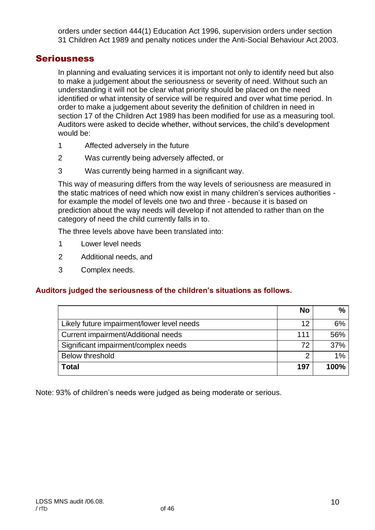orders under section 444(1) Education Act 1996, supervision orders under section 31 Children Act 1989 and penalty notices under the Anti-Social Behaviour Act 2003.

#### **Seriousness**

In planning and evaluating services it is important not only to identify need but also to make a judgement about the seriousness or severity of need. Without such an understanding it will not be clear what priority should be placed on the need identified or what intensity of service will be required and over what time period. In order to make a judgement about severity the definition of children in need in section 17 of the Children Act 1989 has been modified for use as a measuring tool. Auditors were asked to decide whether, without services, the child's development would be:

- 1 Affected adversely in the future
- 2 Was currently being adversely affected, or
- 3 Was currently being harmed in a significant way.

This way of measuring differs from the way levels of seriousness are measured in the static matrices of need which now exist in many children's services authorities for example the model of levels one two and three - because it is based on prediction about the way needs will develop if not attended to rather than on the category of need the child currently falls in to.

The three levels above have been translated into:

- 1 Lower level needs
- 2 Additional needs, and
- 3 Complex needs.

#### **Auditors judged the seriousness of the children's situations as follows.**

|                                            | No  | $\%$  |
|--------------------------------------------|-----|-------|
| Likely future impairment/lower level needs | 12  | 6%    |
| Current impairment/Additional needs        | 111 | 56%   |
| Significant impairment/complex needs       | 72  | 37%   |
| <b>Below threshold</b>                     | 2   | $1\%$ |
| Гоtal                                      | 197 | 100%  |

Note: 93% of children's needs were judged as being moderate or serious.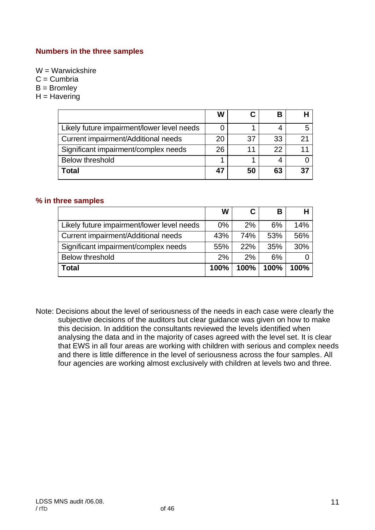#### **Numbers in the three samples**

W = Warwickshire

 $C =$  Cumbria

 $B =$  Bromley

 $H =$  Havering

|                                            | W  |     | В  |    |
|--------------------------------------------|----|-----|----|----|
| Likely future impairment/lower level needs |    |     |    |    |
| Current impairment/Additional needs        | 20 | -37 | 33 | 21 |
| Significant impairment/complex needs       | 26 | 11  | 22 |    |
| <b>Below threshold</b>                     |    |     |    |    |
| <b>Total</b>                               |    | 50  | 63 | 37 |

#### **% in three samples**

|                                            | W     |      | В    |      |
|--------------------------------------------|-------|------|------|------|
| Likely future impairment/lower level needs | $0\%$ | 2%   | 6%   | 14%  |
| Current impairment/Additional needs        | 43%   | 74%  | 53%  | 56%  |
| Significant impairment/complex needs       | 55%   | 22%  | 35%  | 30%  |
| <b>Below threshold</b>                     | 2%    | 2%   | 6%   |      |
| <b>Total</b>                               | 100%  | 100% | 100% | 100% |

Note: Decisions about the level of seriousness of the needs in each case were clearly the subjective decisions of the auditors but clear guidance was given on how to make this decision. In addition the consultants reviewed the levels identified when analysing the data and in the majority of cases agreed with the level set. It is clear that EWS in all four areas are working with children with serious and complex needs and there is little difference in the level of seriousness across the four samples. All four agencies are working almost exclusively with children at levels two and three.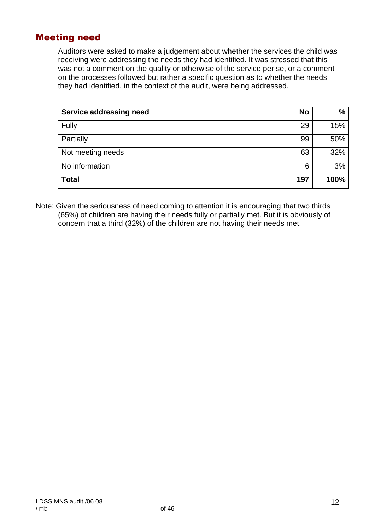### Meeting need

Auditors were asked to make a judgement about whether the services the child was receiving were addressing the needs they had identified. It was stressed that this was not a comment on the quality or otherwise of the service per se, or a comment on the processes followed but rather a specific question as to whether the needs they had identified, in the context of the audit, were being addressed.

| <b>Service addressing need</b> | No  | $\frac{9}{6}$ |
|--------------------------------|-----|---------------|
| Fully                          | 29  | 15%           |
| Partially                      | 99  | 50%           |
| Not meeting needs              | 63  | 32%           |
| No information                 | 6   | 3%            |
| <b>Total</b>                   | 197 | 100%          |

Note: Given the seriousness of need coming to attention it is encouraging that two thirds (65%) of children are having their needs fully or partially met. But it is obviously of concern that a third (32%) of the children are not having their needs met.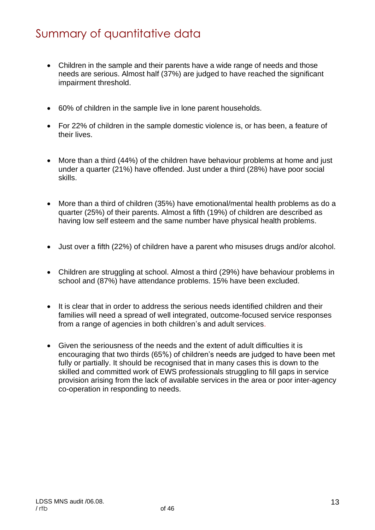## Summary of quantitative data

- Children in the sample and their parents have a wide range of needs and those needs are serious. Almost half (37%) are judged to have reached the significant impairment threshold.
- 60% of children in the sample live in lone parent households.
- For 22% of children in the sample domestic violence is, or has been, a feature of their lives.
- More than a third (44%) of the children have behaviour problems at home and just under a quarter (21%) have offended. Just under a third (28%) have poor social skills.
- More than a third of children (35%) have emotional/mental health problems as do a quarter (25%) of their parents. Almost a fifth (19%) of children are described as having low self esteem and the same number have physical health problems.
- Just over a fifth (22%) of children have a parent who misuses drugs and/or alcohol.
- Children are struggling at school. Almost a third (29%) have behaviour problems in school and (87%) have attendance problems. 15% have been excluded.
- It is clear that in order to address the serious needs identified children and their families will need a spread of well integrated, outcome-focused service responses from a range of agencies in both children's and adult services.
- Given the seriousness of the needs and the extent of adult difficulties it is encouraging that two thirds (65%) of children's needs are judged to have been met fully or partially. It should be recognised that in many cases this is down to the skilled and committed work of EWS professionals struggling to fill gaps in service provision arising from the lack of available services in the area or poor inter-agency co-operation in responding to needs.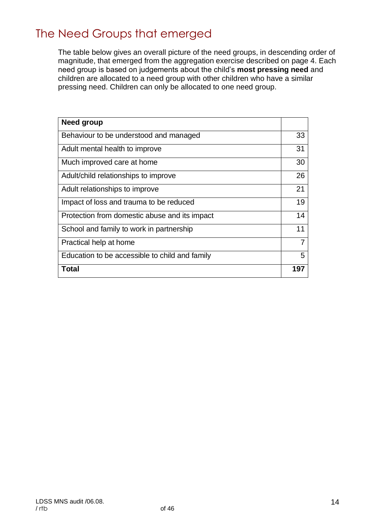## The Need Groups that emerged

The table below gives an overall picture of the need groups, in descending order of magnitude, that emerged from the aggregation exercise described on page 4. Each need group is based on judgements about the child's **most pressing need** and children are allocated to a need group with other children who have a similar pressing need. Children can only be allocated to one need group.

| Need group                                     |     |
|------------------------------------------------|-----|
| Behaviour to be understood and managed         | 33  |
| Adult mental health to improve                 | 31  |
| Much improved care at home                     | 30  |
| Adult/child relationships to improve           | 26  |
| Adult relationships to improve                 | 21  |
| Impact of loss and trauma to be reduced        | 19  |
| Protection from domestic abuse and its impact  | 14  |
| School and family to work in partnership       | 11  |
| Practical help at home                         | 7   |
| Education to be accessible to child and family | 5   |
| Total                                          | 197 |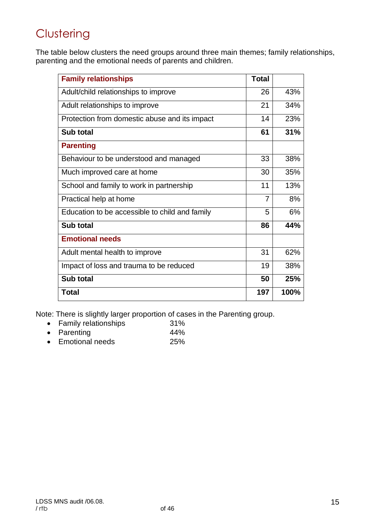## **Clustering**

The table below clusters the need groups around three main themes; family relationships, parenting and the emotional needs of parents and children.

| <b>Family relationships</b>                    | <b>Total</b> |      |
|------------------------------------------------|--------------|------|
| Adult/child relationships to improve           | 26           | 43%  |
| Adult relationships to improve                 | 21           | 34%  |
| Protection from domestic abuse and its impact  | 14           | 23%  |
| Sub total                                      | 61           | 31%  |
| <b>Parenting</b>                               |              |      |
| Behaviour to be understood and managed         | 33           | 38%  |
| Much improved care at home                     | 30           | 35%  |
| School and family to work in partnership       | 11           | 13%  |
| Practical help at home                         | 7            | 8%   |
| Education to be accessible to child and family | 5            | 6%   |
| Sub total                                      | 86           | 44%  |
| <b>Emotional needs</b>                         |              |      |
| Adult mental health to improve                 | 31           | 62%  |
| Impact of loss and trauma to be reduced        | 19           | 38%  |
| Sub total                                      | 50           | 25%  |
| <b>Total</b>                                   | 197          | 100% |

Note: There is slightly larger proportion of cases in the Parenting group.

- Family relationships 31% • Parenting 44%
- Emotional needs 25%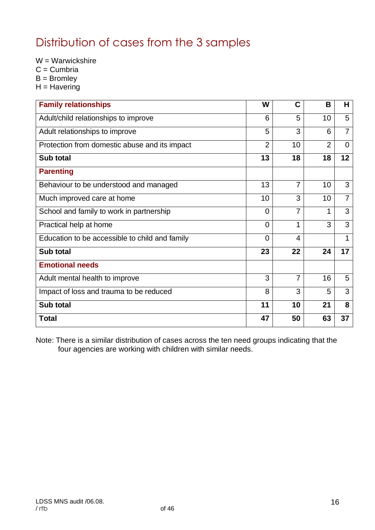## Distribution of cases from the 3 samples

W = Warwickshire

- $C =$  Cumbria
- $B =$  Bromley
- $H = H$ avering

| <b>Family relationships</b>                    | W              | C              | B              | H              |
|------------------------------------------------|----------------|----------------|----------------|----------------|
| Adult/child relationships to improve           | 6              | 5              | 10             | 5              |
| Adult relationships to improve                 | 5              | 3              | 6              | $\overline{7}$ |
| Protection from domestic abuse and its impact  | $\overline{2}$ | 10             | $\overline{2}$ | $\Omega$       |
| Sub total                                      | 13             | 18             | 18             | 12             |
| <b>Parenting</b>                               |                |                |                |                |
| Behaviour to be understood and managed         | 13             | $\overline{7}$ | 10             | 3              |
| Much improved care at home                     | 10             | 3              | 10             | $\overline{7}$ |
| School and family to work in partnership       | $\Omega$       | $\overline{7}$ | 1              | 3              |
| Practical help at home                         | $\Omega$       | 1              | 3              | 3              |
| Education to be accessible to child and family | $\overline{0}$ | 4              |                | 1              |
| Sub total                                      | 23             | 22             | 24             | 17             |
| <b>Emotional needs</b>                         |                |                |                |                |
| Adult mental health to improve                 | 3              | $\overline{7}$ | 16             | 5              |
| Impact of loss and trauma to be reduced        | 8              | 3              | 5              | 3              |
| Sub total                                      | 11             | 10             | 21             | 8              |
| <b>Total</b>                                   | 47             | 50             | 63             | 37             |

Note: There is a similar distribution of cases across the ten need groups indicating that the four agencies are working with children with similar needs.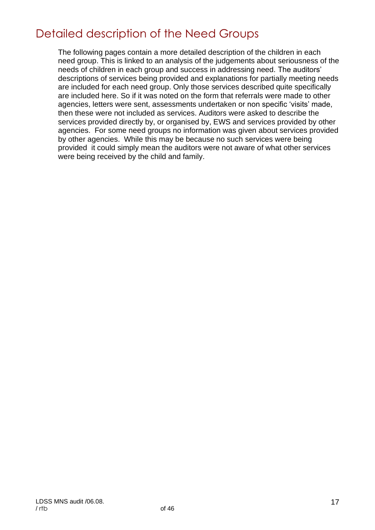## Detailed description of the Need Groups

The following pages contain a more detailed description of the children in each need group. This is linked to an analysis of the judgements about seriousness of the needs of children in each group and success in addressing need. The auditors' descriptions of services being provided and explanations for partially meeting needs are included for each need group. Only those services described quite specifically are included here. So if it was noted on the form that referrals were made to other agencies, letters were sent, assessments undertaken or non specific 'visits' made, then these were not included as services. Auditors were asked to describe the services provided directly by, or organised by, EWS and services provided by other agencies. For some need groups no information was given about services provided by other agencies. While this may be because no such services were being provided it could simply mean the auditors were not aware of what other services were being received by the child and family.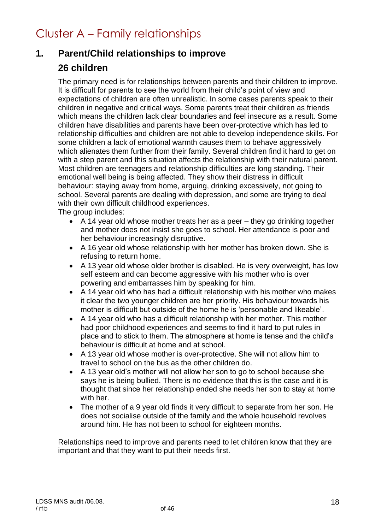## Cluster A – Family relationships

### **1. Parent/Child relationships to improve**

### **26 children**

The primary need is for relationships between parents and their children to improve. It is difficult for parents to see the world from their child's point of view and expectations of children are often unrealistic. In some cases parents speak to their children in negative and critical ways. Some parents treat their children as friends which means the children lack clear boundaries and feel insecure as a result. Some children have disabilities and parents have been over-protective which has led to relationship difficulties and children are not able to develop independence skills. For some children a lack of emotional warmth causes them to behave aggressively which alienates them further from their family. Several children find it hard to get on with a step parent and this situation affects the relationship with their natural parent. Most children are teenagers and relationship difficulties are long standing. Their emotional well being is being affected. They show their distress in difficult behaviour: staying away from home, arguing, drinking excessively, not going to school. Several parents are dealing with depression, and some are trying to deal with their own difficult childhood experiences.

The group includes:

- A 14 year old whose mother treats her as a peer they go drinking together and mother does not insist she goes to school. Her attendance is poor and her behaviour increasingly disruptive.
- A 16 year old whose relationship with her mother has broken down. She is refusing to return home.
- A 13 year old whose older brother is disabled. He is very overweight, has low self esteem and can become aggressive with his mother who is over powering and embarrasses him by speaking for him.
- A 14 year old who has had a difficult relationship with his mother who makes it clear the two younger children are her priority. His behaviour towards his mother is difficult but outside of the home he is 'personable and likeable'.
- A 14 year old who has a difficult relationship with her mother. This mother had poor childhood experiences and seems to find it hard to put rules in place and to stick to them. The atmosphere at home is tense and the child's behaviour is difficult at home and at school.
- A 13 year old whose mother is over-protective. She will not allow him to travel to school on the bus as the other children do.
- A 13 year old's mother will not allow her son to go to school because she says he is being bullied. There is no evidence that this is the case and it is thought that since her relationship ended she needs her son to stay at home with her.
- The mother of a 9 year old finds it very difficult to separate from her son. He does not socialise outside of the family and the whole household revolves around him. He has not been to school for eighteen months.

Relationships need to improve and parents need to let children know that they are important and that they want to put their needs first.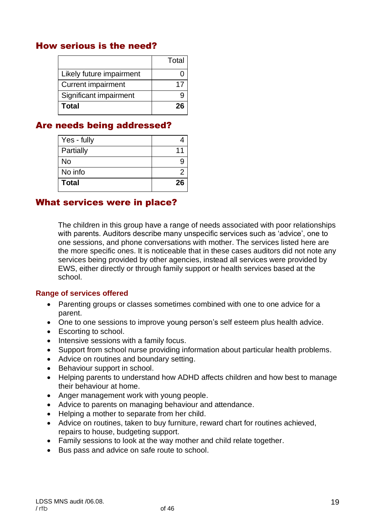### How serious is the need?

|                           | Total |
|---------------------------|-------|
| Likely future impairment  |       |
| <b>Current impairment</b> | 17    |
| Significant impairment    |       |
| Total                     | 26    |

### Are needs being addressed?

| Yes - fully  |    |
|--------------|----|
| Partially    | 11 |
| No           |    |
| No info      |    |
| <b>Total</b> | 26 |

#### What services were in place?

The children in this group have a range of needs associated with poor relationships with parents. Auditors describe many unspecific services such as 'advice', one to one sessions, and phone conversations with mother. The services listed here are the more specific ones. It is noticeable that in these cases auditors did not note any services being provided by other agencies, instead all services were provided by EWS, either directly or through family support or health services based at the school.

#### **Range of services offered**

- Parenting groups or classes sometimes combined with one to one advice for a parent.
- One to one sessions to improve young person's self esteem plus health advice.
- Escorting to school.
- Intensive sessions with a family focus.
- Support from school nurse providing information about particular health problems.
- Advice on routines and boundary setting.
- Behaviour support in school.
- Helping parents to understand how ADHD affects children and how best to manage their behaviour at home.
- Anger management work with young people.
- Advice to parents on managing behaviour and attendance.
- Helping a mother to separate from her child.
- Advice on routines, taken to buy furniture, reward chart for routines achieved, repairs to house, budgeting support.
- Family sessions to look at the way mother and child relate together.
- Bus pass and advice on safe route to school.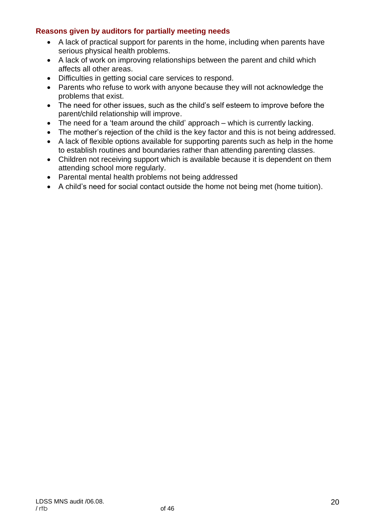#### **Reasons given by auditors for partially meeting needs**

- A lack of practical support for parents in the home, including when parents have serious physical health problems.
- A lack of work on improving relationships between the parent and child which affects all other areas.
- Difficulties in getting social care services to respond.
- Parents who refuse to work with anyone because they will not acknowledge the problems that exist.
- The need for other issues, such as the child's self esteem to improve before the parent/child relationship will improve.
- The need for a 'team around the child' approach which is currently lacking.
- The mother's rejection of the child is the key factor and this is not being addressed.
- A lack of flexible options available for supporting parents such as help in the home to establish routines and boundaries rather than attending parenting classes.
- Children not receiving support which is available because it is dependent on them attending school more regularly.
- Parental mental health problems not being addressed
- A child's need for social contact outside the home not being met (home tuition).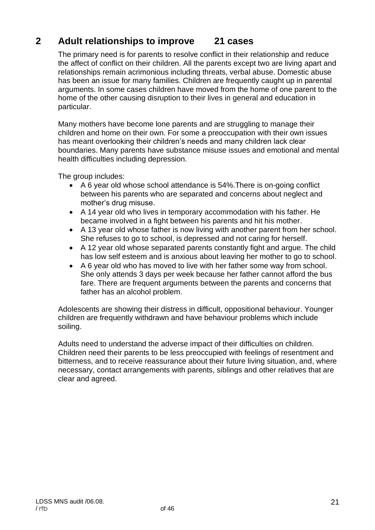### **2 Adult relationships to improve 21 cases**

The primary need is for parents to resolve conflict in their relationship and reduce the affect of conflict on their children. All the parents except two are living apart and relationships remain acrimonious including threats, verbal abuse. Domestic abuse has been an issue for many families. Children are frequently caught up in parental arguments. In some cases children have moved from the home of one parent to the home of the other causing disruption to their lives in general and education in particular.

Many mothers have become lone parents and are struggling to manage their children and home on their own. For some a preoccupation with their own issues has meant overlooking their children's needs and many children lack clear boundaries. Many parents have substance misuse issues and emotional and mental health difficulties including depression.

The group includes:

- A 6 year old whose school attendance is 54%.There is on-going conflict between his parents who are separated and concerns about neglect and mother's drug misuse.
- A 14 year old who lives in temporary accommodation with his father. He became involved in a fight between his parents and hit his mother.
- A 13 year old whose father is now living with another parent from her school. She refuses to go to school, is depressed and not caring for herself.
- A 12 year old whose separated parents constantly fight and argue. The child has low self esteem and is anxious about leaving her mother to go to school.
- A 6 year old who has moved to live with her father some way from school. She only attends 3 days per week because her father cannot afford the bus fare. There are frequent arguments between the parents and concerns that father has an alcohol problem.

Adolescents are showing their distress in difficult, oppositional behaviour. Younger children are frequently withdrawn and have behaviour problems which include soiling.

Adults need to understand the adverse impact of their difficulties on children. Children need their parents to be less preoccupied with feelings of resentment and bitterness, and to receive reassurance about their future living situation, and, where necessary, contact arrangements with parents, siblings and other relatives that are clear and agreed.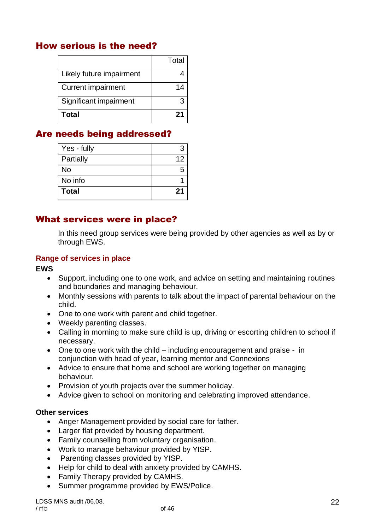### How serious is the need?

|                           | Total |
|---------------------------|-------|
| Likely future impairment  |       |
| <b>Current impairment</b> | 14    |
| Significant impairment    |       |
| Total                     | 21    |

### Are needs being addressed?

| Yes - fully  |    |
|--------------|----|
| Partially    | 12 |
| No           |    |
| No info      |    |
| <b>Total</b> | 21 |

#### What services were in place?

In this need group services were being provided by other agencies as well as by or through EWS.

#### **Range of services in place**

**EWS**

- Support, including one to one work, and advice on setting and maintaining routines and boundaries and managing behaviour.
- Monthly sessions with parents to talk about the impact of parental behaviour on the child.
- One to one work with parent and child together.
- Weekly parenting classes.
- Calling in morning to make sure child is up, driving or escorting children to school if necessary.
- One to one work with the child including encouragement and praise in conjunction with head of year, learning mentor and Connexions
- Advice to ensure that home and school are working together on managing behaviour.
- Provision of youth projects over the summer holiday.
- Advice given to school on monitoring and celebrating improved attendance.

#### **Other services**

- Anger Management provided by social care for father.
- Larger flat provided by housing department.
- Family counselling from voluntary organisation.
- Work to manage behaviour provided by YISP.
- Parenting classes provided by YISP.
- Help for child to deal with anxiety provided by CAMHS.
- Family Therapy provided by CAMHS.
- Summer programme provided by EWS/Police.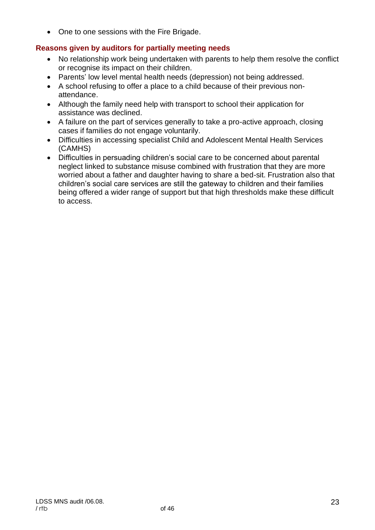• One to one sessions with the Fire Brigade.

#### **Reasons given by auditors for partially meeting needs**

- No relationship work being undertaken with parents to help them resolve the conflict or recognise its impact on their children.
- Parents' low level mental health needs (depression) not being addressed.
- A school refusing to offer a place to a child because of their previous nonattendance.
- Although the family need help with transport to school their application for assistance was declined.
- A failure on the part of services generally to take a pro-active approach, closing cases if families do not engage voluntarily.
- Difficulties in accessing specialist Child and Adolescent Mental Health Services (CAMHS)
- Difficulties in persuading children's social care to be concerned about parental neglect linked to substance misuse combined with frustration that they are more worried about a father and daughter having to share a bed-sit. Frustration also that children's social care services are still the gateway to children and their families being offered a wider range of support but that high thresholds make these difficult to access.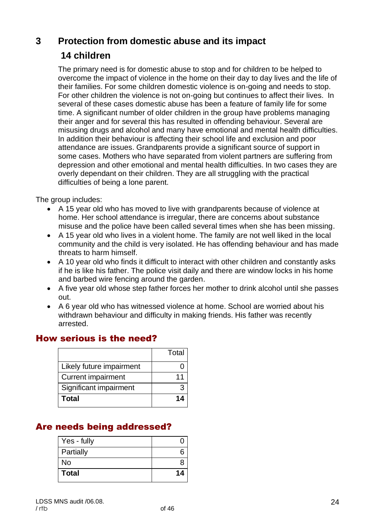### **3 Protection from domestic abuse and its impact**

### **14 children**

The primary need is for domestic abuse to stop and for children to be helped to overcome the impact of violence in the home on their day to day lives and the life of their families. For some children domestic violence is on-going and needs to stop. For other children the violence is not on-going but continues to affect their lives. In several of these cases domestic abuse has been a feature of family life for some time. A significant number of older children in the group have problems managing their anger and for several this has resulted in offending behaviour. Several are misusing drugs and alcohol and many have emotional and mental health difficulties. In addition their behaviour is affecting their school life and exclusion and poor attendance are issues. Grandparents provide a significant source of support in some cases. Mothers who have separated from violent partners are suffering from depression and other emotional and mental health difficulties. In two cases they are overly dependant on their children. They are all struggling with the practical difficulties of being a lone parent.

The group includes:

- A 15 year old who has moved to live with grandparents because of violence at home. Her school attendance is irregular, there are concerns about substance misuse and the police have been called several times when she has been missing.
- A 15 year old who lives in a violent home. The family are not well liked in the local community and the child is very isolated. He has offending behaviour and has made threats to harm himself.
- A 10 year old who finds it difficult to interact with other children and constantly asks if he is like his father. The police visit daily and there are window locks in his home and barbed wire fencing around the garden.
- A five year old whose step father forces her mother to drink alcohol until she passes out.
- A 6 year old who has witnessed violence at home. School are worried about his withdrawn behaviour and difficulty in making friends. His father was recently arrested.

### How serious is the need?

|                           | Total |
|---------------------------|-------|
| Likely future impairment  |       |
| <b>Current impairment</b> | 11    |
| Significant impairment    |       |
| Total                     | 14    |

### Are needs being addressed?

| Yes - fully  |    |
|--------------|----|
| Partially    |    |
| No           |    |
| <b>Total</b> | 14 |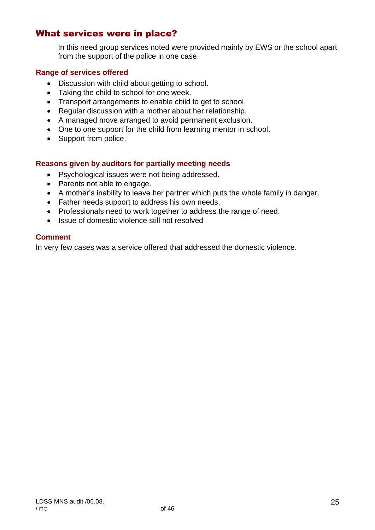### What services were in place?

In this need group services noted were provided mainly by EWS or the school apart from the support of the police in one case.

#### **Range of services offered**

- Discussion with child about getting to school.
- Taking the child to school for one week.
- Transport arrangements to enable child to get to school.
- Regular discussion with a mother about her relationship.
- A managed move arranged to avoid permanent exclusion.
- One to one support for the child from learning mentor in school.
- Support from police.

#### **Reasons given by auditors for partially meeting needs**

- Psychological issues were not being addressed.
- Parents not able to engage.
- A mother's inability to leave her partner which puts the whole family in danger.
- Father needs support to address his own needs.
- Professionals need to work together to address the range of need.
- Issue of domestic violence still not resolved

#### **Comment**

In very few cases was a service offered that addressed the domestic violence.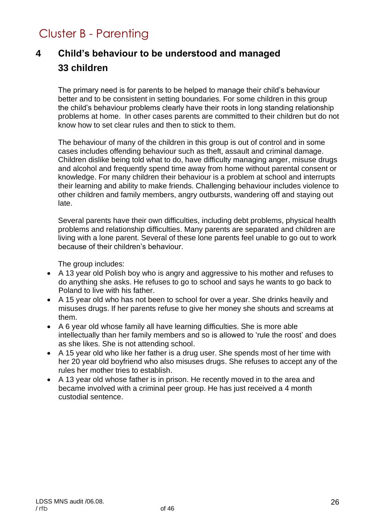## Cluster B - Parenting

## **4 Child's behaviour to be understood and managed 33 children**

The primary need is for parents to be helped to manage their child's behaviour better and to be consistent in setting boundaries. For some children in this group the child's behaviour problems clearly have their roots in long standing relationship problems at home. In other cases parents are committed to their children but do not know how to set clear rules and then to stick to them.

The behaviour of many of the children in this group is out of control and in some cases includes offending behaviour such as theft, assault and criminal damage. Children dislike being told what to do, have difficulty managing anger, misuse drugs and alcohol and frequently spend time away from home without parental consent or knowledge. For many children their behaviour is a problem at school and interrupts their learning and ability to make friends. Challenging behaviour includes violence to other children and family members, angry outbursts, wandering off and staying out late.

Several parents have their own difficulties, including debt problems, physical health problems and relationship difficulties. Many parents are separated and children are living with a lone parent. Several of these lone parents feel unable to go out to work because of their children's behaviour.

The group includes:

- A 13 year old Polish boy who is angry and aggressive to his mother and refuses to do anything she asks. He refuses to go to school and says he wants to go back to Poland to live with his father.
- A 15 year old who has not been to school for over a year. She drinks heavily and misuses drugs. If her parents refuse to give her money she shouts and screams at them.
- A 6 year old whose family all have learning difficulties. She is more able intellectually than her family members and so is allowed to 'rule the roost' and does as she likes. She is not attending school.
- A 15 year old who like her father is a drug user. She spends most of her time with her 20 year old boyfriend who also misuses drugs. She refuses to accept any of the rules her mother tries to establish.
- A 13 year old whose father is in prison. He recently moved in to the area and became involved with a criminal peer group. He has just received a 4 month custodial sentence.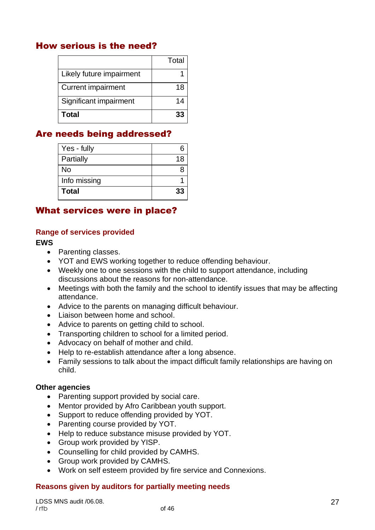### How serious is the need?

|                           | Total |
|---------------------------|-------|
| Likely future impairment  |       |
| <b>Current impairment</b> | 18    |
| Significant impairment    | 14    |
| <b>Total</b>              | 33    |

### Are needs being addressed?

| Yes - fully  |    |
|--------------|----|
|              |    |
| Partially    | 18 |
| No           |    |
| Info missing |    |
| <b>Total</b> | 33 |
|              |    |

### What services were in place?

#### **Range of services provided**

#### **EWS**

- Parenting classes.
- YOT and EWS working together to reduce offending behaviour.
- Weekly one to one sessions with the child to support attendance, including discussions about the reasons for non-attendance.
- Meetings with both the family and the school to identify issues that may be affecting attendance.
- Advice to the parents on managing difficult behaviour.
- Liaison between home and school.
- Advice to parents on getting child to school.
- Transporting children to school for a limited period.
- Advocacy on behalf of mother and child.
- Help to re-establish attendance after a long absence.
- Family sessions to talk about the impact difficult family relationships are having on child.

#### **Other agencies**

- Parenting support provided by social care.
- Mentor provided by Afro Caribbean youth support.
- Support to reduce offending provided by YOT.
- Parenting course provided by YOT.
- Help to reduce substance misuse provided by YOT.
- Group work provided by YISP.
- Counselling for child provided by CAMHS.
- Group work provided by CAMHS.
- Work on self esteem provided by fire service and Connexions.

#### **Reasons given by auditors for partially meeting needs**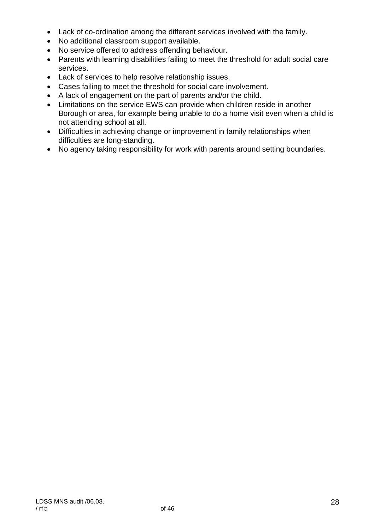- Lack of co-ordination among the different services involved with the family.
- No additional classroom support available.
- No service offered to address offending behaviour.
- Parents with learning disabilities failing to meet the threshold for adult social care services.
- Lack of services to help resolve relationship issues.
- Cases failing to meet the threshold for social care involvement.
- A lack of engagement on the part of parents and/or the child.
- Limitations on the service EWS can provide when children reside in another Borough or area, for example being unable to do a home visit even when a child is not attending school at all.
- Difficulties in achieving change or improvement in family relationships when difficulties are long-standing.
- No agency taking responsibility for work with parents around setting boundaries.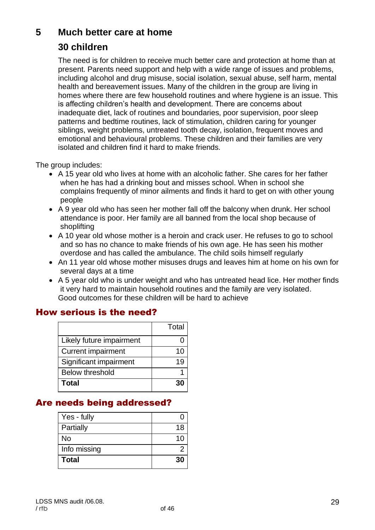### **5 Much better care at home**

### **30 children**

The need is for children to receive much better care and protection at home than at present. Parents need support and help with a wide range of issues and problems, including alcohol and drug misuse, social isolation, sexual abuse, self harm, mental health and bereavement issues. Many of the children in the group are living in homes where there are few household routines and where hygiene is an issue. This is affecting children's health and development. There are concerns about inadequate diet, lack of routines and boundaries, poor supervision, poor sleep patterns and bedtime routines, lack of stimulation, children caring for younger siblings, weight problems, untreated tooth decay, isolation, frequent moves and emotional and behavioural problems. These children and their families are very isolated and children find it hard to make friends.

The group includes:

- A 15 year old who lives at home with an alcoholic father. She cares for her father when he has had a drinking bout and misses school. When in school she complains frequently of minor ailments and finds it hard to get on with other young people
- A 9 year old who has seen her mother fall off the balcony when drunk. Her school attendance is poor. Her family are all banned from the local shop because of shoplifting
- A 10 year old whose mother is a heroin and crack user. He refuses to go to school and so has no chance to make friends of his own age. He has seen his mother overdose and has called the ambulance. The child soils himself regularly
- An 11 year old whose mother misuses drugs and leaves him at home on his own for several days at a time
- A 5 year old who is under weight and who has untreated head lice. Her mother finds it very hard to maintain household routines and the family are very isolated. Good outcomes for these children will be hard to achieve

### How serious is the need?

|                           | Total |
|---------------------------|-------|
| Likely future impairment  |       |
| <b>Current impairment</b> | 10    |
| Significant impairment    | 19    |
| <b>Below threshold</b>    |       |
| Total                     |       |

### Are needs being addressed?

| Yes - fully  |    |
|--------------|----|
| Partially    | 18 |
| No           | 10 |
| Info missing |    |
| <b>Total</b> | 30 |
|              |    |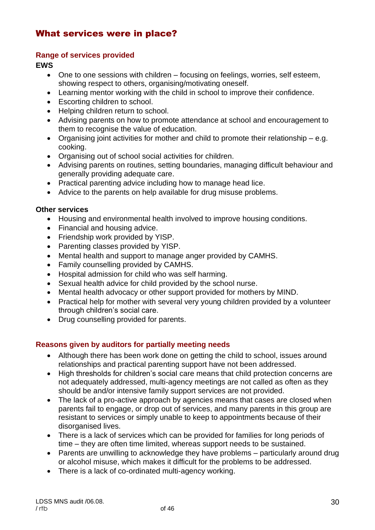### What services were in place?

#### **Range of services provided**

**EWS**

- One to one sessions with children focusing on feelings, worries, self esteem, showing respect to others, organising/motivating oneself.
- Learning mentor working with the child in school to improve their confidence.
- Escorting children to school.
- Helping children return to school.
- Advising parents on how to promote attendance at school and encouragement to them to recognise the value of education.
- Organising joint activities for mother and child to promote their relationship e.g. cooking.
- Organising out of school social activities for children.
- Advising parents on routines, setting boundaries, managing difficult behaviour and generally providing adequate care.
- Practical parenting advice including how to manage head lice.
- Advice to the parents on help available for drug misuse problems.

#### **Other services**

- Housing and environmental health involved to improve housing conditions.
- Financial and housing advice.
- Friendship work provided by YISP.
- Parenting classes provided by YISP.
- Mental health and support to manage anger provided by CAMHS.
- Family counselling provided by CAMHS.
- Hospital admission for child who was self harming.
- Sexual health advice for child provided by the school nurse.
- Mental health advocacy or other support provided for mothers by MIND.
- Practical help for mother with several very young children provided by a volunteer through children's social care.
- Drug counselling provided for parents.

#### **Reasons given by auditors for partially meeting needs**

- Although there has been work done on getting the child to school, issues around relationships and practical parenting support have not been addressed.
- High thresholds for children's social care means that child protection concerns are not adequately addressed, multi-agency meetings are not called as often as they should be and/or intensive family support services are not provided.
- The lack of a pro-active approach by agencies means that cases are closed when parents fail to engage, or drop out of services, and many parents in this group are resistant to services or simply unable to keep to appointments because of their disorganised lives.
- There is a lack of services which can be provided for families for long periods of time – they are often time limited, whereas support needs to be sustained.
- Parents are unwilling to acknowledge they have problems particularly around drug or alcohol misuse, which makes it difficult for the problems to be addressed.
- There is a lack of co-ordinated multi-agency working.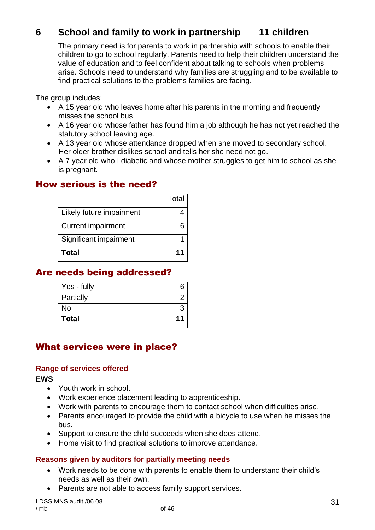### **6 School and family to work in partnership 11 children**

The primary need is for parents to work in partnership with schools to enable their children to go to school regularly. Parents need to help their children understand the value of education and to feel confident about talking to schools when problems arise. Schools need to understand why families are struggling and to be available to find practical solutions to the problems families are facing.

The group includes:

- A 15 year old who leaves home after his parents in the morning and frequently misses the school bus.
- A 16 year old whose father has found him a job although he has not yet reached the statutory school leaving age.
- A 13 year old whose attendance dropped when she moved to secondary school. Her older brother dislikes school and tells her she need not go.
- A 7 year old who I diabetic and whose mother struggles to get him to school as she is pregnant.

#### How serious is the need?

|                           | Total |
|---------------------------|-------|
| Likely future impairment  |       |
| <b>Current impairment</b> |       |
| Significant impairment    |       |
| Total                     |       |

### Are needs being addressed?

| Yes - fully  |    |
|--------------|----|
| Partially    |    |
| No           |    |
| <b>Total</b> | 11 |

### What services were in place?

#### **Range of services offered**

**EWS**

- Youth work in school.
- Work experience placement leading to apprenticeship.
- Work with parents to encourage them to contact school when difficulties arise.
- Parents encouraged to provide the child with a bicycle to use when he misses the bus.
- Support to ensure the child succeeds when she does attend.
- Home visit to find practical solutions to improve attendance.

#### **Reasons given by auditors for partially meeting needs**

- Work needs to be done with parents to enable them to understand their child's needs as well as their own.
- Parents are not able to access family support services.

LDSS MNS audit /06.08. / rtb of 46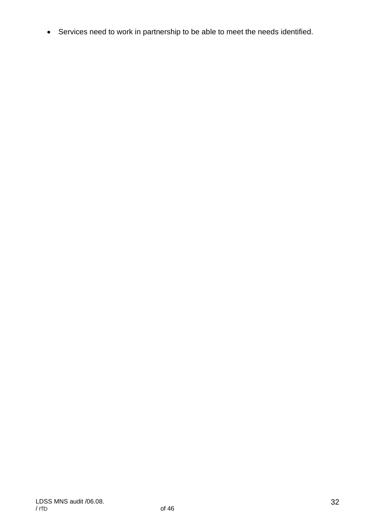• Services need to work in partnership to be able to meet the needs identified.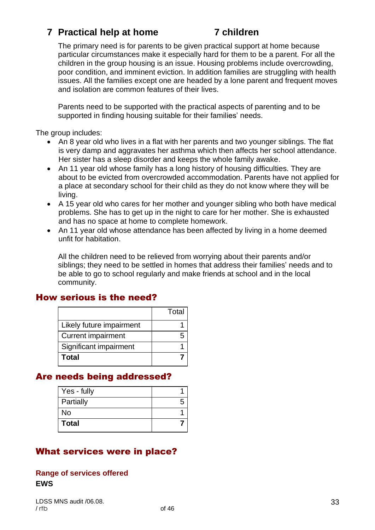### **7 Practical help at home 7 children**

The primary need is for parents to be given practical support at home because particular circumstances make it especially hard for them to be a parent. For all the children in the group housing is an issue. Housing problems include overcrowding, poor condition, and imminent eviction. In addition families are struggling with health issues. All the families except one are headed by a lone parent and frequent moves and isolation are common features of their lives.

Parents need to be supported with the practical aspects of parenting and to be supported in finding housing suitable for their families' needs.

The group includes:

- An 8 year old who lives in a flat with her parents and two younger siblings. The flat is very damp and aggravates her asthma which then affects her school attendance. Her sister has a sleep disorder and keeps the whole family awake.
- An 11 year old whose family has a long history of housing difficulties. They are about to be evicted from overcrowded accommodation. Parents have not applied for a place at secondary school for their child as they do not know where they will be living.
- A 15 year old who cares for her mother and younger sibling who both have medical problems. She has to get up in the night to care for her mother. She is exhausted and has no space at home to complete homework.
- An 11 year old whose attendance has been affected by living in a home deemed unfit for habitation.

All the children need to be relieved from worrying about their parents and/or siblings; they need to be settled in homes that address their families' needs and to be able to go to school regularly and make friends at school and in the local community.

### How serious is the need?

|                           | Total |
|---------------------------|-------|
| Likely future impairment  |       |
| <b>Current impairment</b> |       |
| Significant impairment    |       |
| Total                     |       |

### Are needs being addressed?

| Yes - fully  |  |
|--------------|--|
| Partially    |  |
| <b>No</b>    |  |
| <b>Total</b> |  |

### What services were in place?

#### **Range of services offered EWS**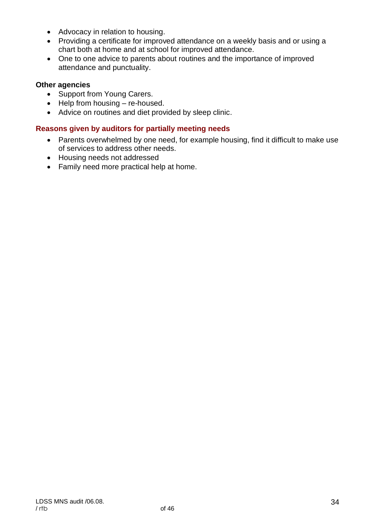- Advocacy in relation to housing.
- Providing a certificate for improved attendance on a weekly basis and or using a chart both at home and at school for improved attendance.
- One to one advice to parents about routines and the importance of improved attendance and punctuality.

#### **Other agencies**

- Support from Young Carers.
- Help from housing re-housed.
- Advice on routines and diet provided by sleep clinic.

#### **Reasons given by auditors for partially meeting needs**

- Parents overwhelmed by one need, for example housing, find it difficult to make use of services to address other needs.
- Housing needs not addressed
- Family need more practical help at home.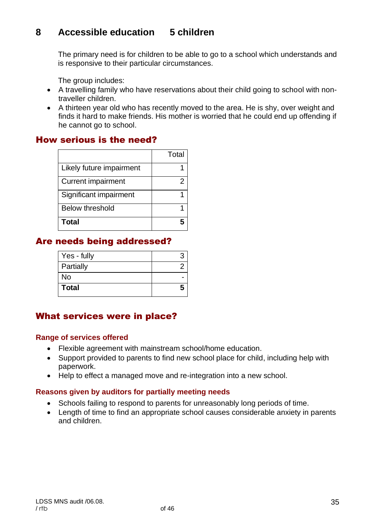### **8 Accessible education 5 children**

The primary need is for children to be able to go to a school which understands and is responsive to their particular circumstances.

The group includes:

- A travelling family who have reservations about their child going to school with nontraveller children.
- A thirteen year old who has recently moved to the area. He is shy, over weight and finds it hard to make friends. His mother is worried that he could end up offending if he cannot go to school.

### How serious is the need?

|                           | Total |
|---------------------------|-------|
| Likely future impairment  |       |
| <b>Current impairment</b> | 2     |
| Significant impairment    |       |
| <b>Below threshold</b>    |       |
| Total                     |       |

### Are needs being addressed?

| Yes - fully  |  |
|--------------|--|
| Partially    |  |
| No           |  |
| <b>Total</b> |  |

#### What services were in place?

#### **Range of services offered**

- Flexible agreement with mainstream school/home education.
- Support provided to parents to find new school place for child, including help with paperwork.
- Help to effect a managed move and re-integration into a new school.

#### **Reasons given by auditors for partially meeting needs**

- Schools failing to respond to parents for unreasonably long periods of time.
- Length of time to find an appropriate school causes considerable anxiety in parents and children.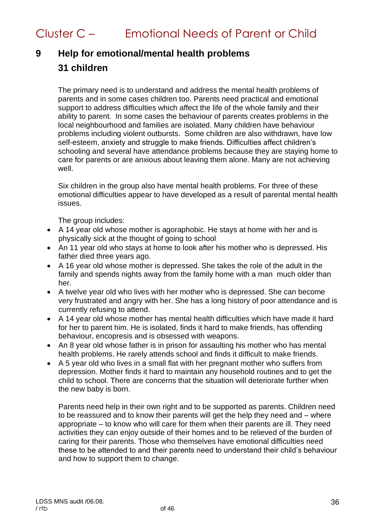## Cluster C – Emotional Needs of Parent or Child

## **9 Help for emotional/mental health problems 31 children**

The primary need is to understand and address the mental health problems of parents and in some cases children too. Parents need practical and emotional support to address difficulties which affect the life of the whole family and their ability to parent. In some cases the behaviour of parents creates problems in the local neighbourhood and families are isolated. Many children have behaviour problems including violent outbursts. Some children are also withdrawn, have low self-esteem, anxiety and struggle to make friends. Difficulties affect children's schooling and several have attendance problems because they are staying home to care for parents or are anxious about leaving them alone. Many are not achieving well.

Six children in the group also have mental health problems. For three of these emotional difficulties appear to have developed as a result of parental mental health issues.

The group includes:

- A 14 year old whose mother is agoraphobic. He stays at home with her and is physically sick at the thought of going to school
- An 11 year old who stays at home to look after his mother who is depressed. His father died three years ago.
- A 16 year old whose mother is depressed. She takes the role of the adult in the family and spends nights away from the family home with a man much older than her.
- A twelve year old who lives with her mother who is depressed. She can become very frustrated and angry with her. She has a long history of poor attendance and is currently refusing to attend.
- A 14 year old whose mother has mental health difficulties which have made it hard for her to parent him. He is isolated, finds it hard to make friends, has offending behaviour, encopresis and is obsessed with weapons.
- An 8 year old whose father is in prison for assaulting his mother who has mental health problems. He rarely attends school and finds it difficult to make friends.
- A 5 year old who lives in a small flat with her pregnant mother who suffers from depression. Mother finds it hard to maintain any household routines and to get the child to school. There are concerns that the situation will deteriorate further when the new baby is born.

Parents need help in their own right and to be supported as parents. Children need to be reassured and to know their parents will get the help they need and – where appropriate – to know who will care for them when their parents are ill. They need activities they can enjoy outside of their homes and to be relieved of the burden of caring for their parents. Those who themselves have emotional difficulties need these to be attended to and their parents need to understand their child's behaviour and how to support them to change.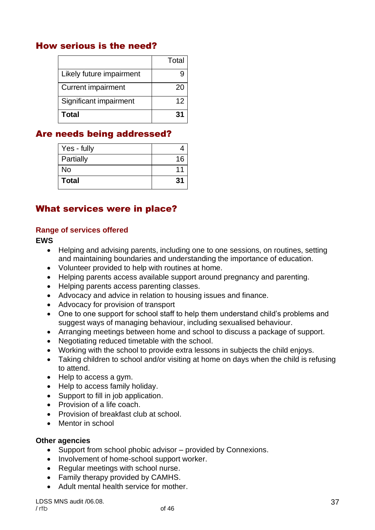### How serious is the need?

|                           | Total |
|---------------------------|-------|
| Likely future impairment  |       |
| <b>Current impairment</b> | 20    |
| Significant impairment    | 12    |
| <b>Total</b>              | 31    |

### Are needs being addressed?

| Yes - fully  |    |
|--------------|----|
| Partially    | 16 |
| No           |    |
| <b>Total</b> | 31 |

### What services were in place?

#### **Range of services offered**

**EWS**

- Helping and advising parents, including one to one sessions, on routines, setting and maintaining boundaries and understanding the importance of education.
- Volunteer provided to help with routines at home.
- Helping parents access available support around pregnancy and parenting.
- Helping parents access parenting classes.
- Advocacy and advice in relation to housing issues and finance.
- Advocacy for provision of transport
- One to one support for school staff to help them understand child's problems and suggest ways of managing behaviour, including sexualised behaviour.
- Arranging meetings between home and school to discuss a package of support.
- Negotiating reduced timetable with the school.
- Working with the school to provide extra lessons in subjects the child enjoys.
- Taking children to school and/or visiting at home on days when the child is refusing to attend.
- Help to access a gym.
- Help to access family holiday.
- Support to fill in job application.
- Provision of a life coach.
- Provision of breakfast club at school.
- Mentor in school

#### **Other agencies**

- Support from school phobic advisor provided by Connexions.
- Involvement of home-school support worker.
- Regular meetings with school nurse.
- Family therapy provided by CAMHS.
- Adult mental health service for mother.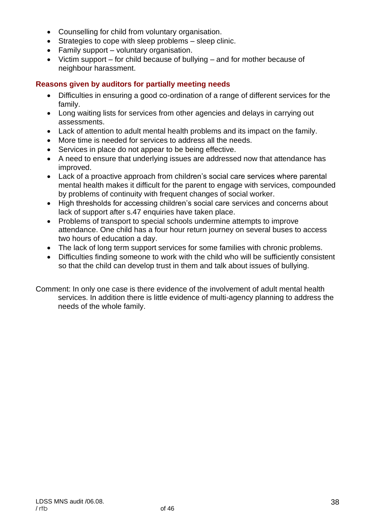- Counselling for child from voluntary organisation.
- Strategies to cope with sleep problems sleep clinic.
- Family support voluntary organisation.
- Victim support for child because of bullying and for mother because of neighbour harassment.

#### **Reasons given by auditors for partially meeting needs**

- Difficulties in ensuring a good co-ordination of a range of different services for the family.
- Long waiting lists for services from other agencies and delays in carrying out assessments.
- Lack of attention to adult mental health problems and its impact on the family.
- More time is needed for services to address all the needs.
- Services in place do not appear to be being effective.
- A need to ensure that underlying issues are addressed now that attendance has improved.
- Lack of a proactive approach from children's social care services where parental mental health makes it difficult for the parent to engage with services, compounded by problems of continuity with frequent changes of social worker.
- High thresholds for accessing children's social care services and concerns about lack of support after s.47 enquiries have taken place.
- Problems of transport to special schools undermine attempts to improve attendance. One child has a four hour return journey on several buses to access two hours of education a day.
- The lack of long term support services for some families with chronic problems.
- Difficulties finding someone to work with the child who will be sufficiently consistent so that the child can develop trust in them and talk about issues of bullying.

Comment: In only one case is there evidence of the involvement of adult mental health services. In addition there is little evidence of multi-agency planning to address the needs of the whole family.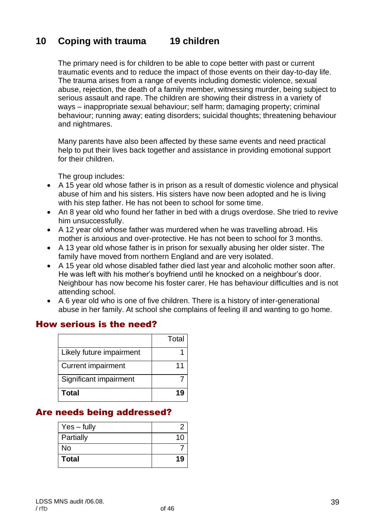### **10 Coping with trauma 19 children**

The primary need is for children to be able to cope better with past or current traumatic events and to reduce the impact of those events on their day-to-day life. The trauma arises from a range of events including domestic violence, sexual abuse, rejection, the death of a family member, witnessing murder, being subject to serious assault and rape. The children are showing their distress in a variety of ways – inappropriate sexual behaviour; self harm; damaging property; criminal behaviour; running away; eating disorders; suicidal thoughts; threatening behaviour and nightmares.

Many parents have also been affected by these same events and need practical help to put their lives back together and assistance in providing emotional support for their children.

The group includes:

- A 15 year old whose father is in prison as a result of domestic violence and physical abuse of him and his sisters. His sisters have now been adopted and he is living with his step father. He has not been to school for some time.
- An 8 year old who found her father in bed with a drugs overdose. She tried to revive him unsuccessfully.
- A 12 year old whose father was murdered when he was travelling abroad. His mother is anxious and over-protective. He has not been to school for 3 months.
- A 13 year old whose father is in prison for sexually abusing her older sister. The family have moved from northern England and are very isolated.
- A 15 year old whose disabled father died last year and alcoholic mother soon after. He was left with his mother's boyfriend until he knocked on a neighbour's door. Neighbour has now become his foster carer. He has behaviour difficulties and is not attending school.
- A 6 year old who is one of five children. There is a history of inter-generational abuse in her family. At school she complains of feeling ill and wanting to go home.

#### How serious is the need?

|                           | Total |
|---------------------------|-------|
| Likely future impairment  |       |
| <b>Current impairment</b> |       |
| Significant impairment    |       |
| Total                     |       |

### Are needs being addressed?

| $Yes - fully$ |    |
|---------------|----|
| Partially     | 10 |
| No            |    |
| <b>Total</b>  | 19 |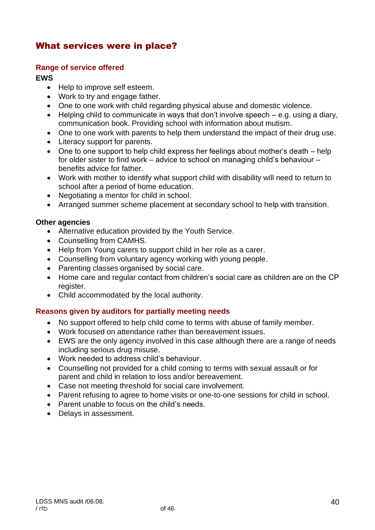### What services were in place?

#### **Range of service offered**

#### **EWS**

- Help to improve self esteem.
- Work to try and engage father.
- One to one work with child regarding physical abuse and domestic violence.
- Helping child to communicate in ways that don't involve speech e.g. using a diary, communication book. Providing school with information about mutism.
- One to one work with parents to help them understand the impact of their drug use.
- Literacy support for parents.
- One to one support to help child express her feelings about mother's death help for older sister to find work – advice to school on managing child's behaviour – benefits advice for father.
- Work with mother to identify what support child with disability will need to return to school after a period of home education.
- Negotiating a mentor for child in school.
- Arranged summer scheme placement at secondary school to help with transition.

#### **Other agencies**

- Alternative education provided by the Youth Service.
- Counselling from CAMHS.
- Help from Young carers to support child in her role as a carer.
- Counselling from voluntary agency working with young people.
- Parenting classes organised by social care.
- Home care and regular contact from children's social care as children are on the CP register.
- Child accommodated by the local authority.

#### **Reasons given by auditors for partially meeting needs**

- No support offered to help child come to terms with abuse of family member.
- Work focused on attendance rather than bereavement issues.
- EWS are the only agency involved in this case although there are a range of needs including serious drug misuse.
- Work needed to address child's behaviour.
- Counselling not provided for a child coming to terms with sexual assault or for parent and child in relation to loss and/or bereavement.
- Case not meeting threshold for social care involvement.
- Parent refusing to agree to home visits or one-to-one sessions for child in school.
- Parent unable to focus on the child's needs.
- Delays in assessment.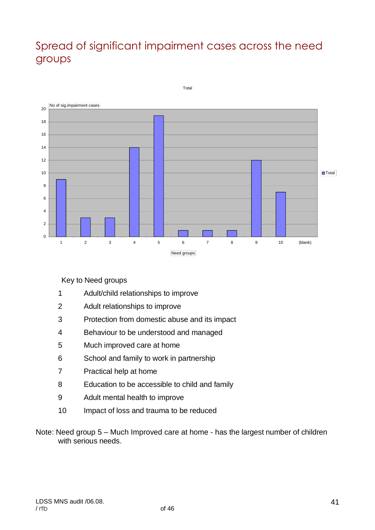## Spread of significant impairment cases across the need groups



Key to Need groups

- Adult/child relationships to improve
- Adult relationships to improve
- Protection from domestic abuse and its impact
- Behaviour to be understood and managed
- Much improved care at home
- School and family to work in partnership
- Practical help at home
- Education to be accessible to child and family
- Adult mental health to improve
- Impact of loss and trauma to be reduced
- Note: Need group 5 Much Improved care at home has the largest number of children with serious needs.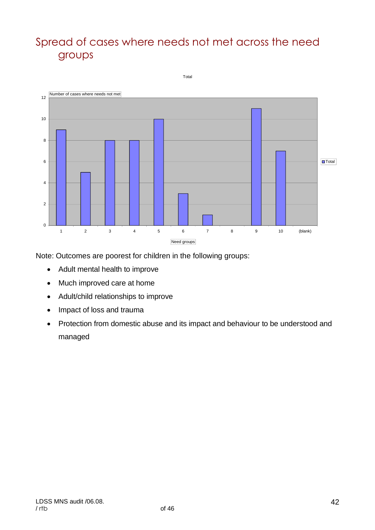## Spread of cases where needs not met across the need groups



Note: Outcomes are poorest for children in the following groups:

- Adult mental health to improve
- Much improved care at home
- Adult/child relationships to improve
- Impact of loss and trauma
- Protection from domestic abuse and its impact and behaviour to be understood and managed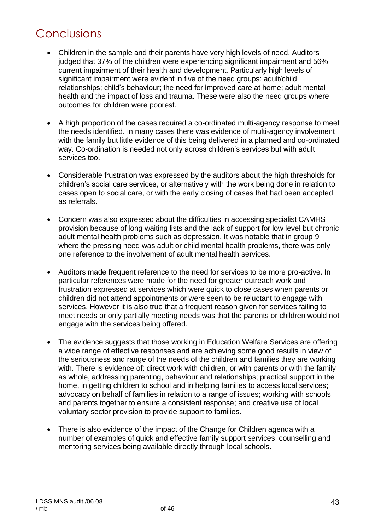## Conclusions

- Children in the sample and their parents have very high levels of need. Auditors judged that 37% of the children were experiencing significant impairment and 56% current impairment of their health and development. Particularly high levels of significant impairment were evident in five of the need groups: adult/child relationships; child's behaviour; the need for improved care at home; adult mental health and the impact of loss and trauma. These were also the need groups where outcomes for children were poorest.
- A high proportion of the cases required a co-ordinated multi-agency response to meet the needs identified. In many cases there was evidence of multi-agency involvement with the family but little evidence of this being delivered in a planned and co-ordinated way. Co-ordination is needed not only across children's services but with adult services too.
- Considerable frustration was expressed by the auditors about the high thresholds for children's social care services, or alternatively with the work being done in relation to cases open to social care, or with the early closing of cases that had been accepted as referrals.
- Concern was also expressed about the difficulties in accessing specialist CAMHS provision because of long waiting lists and the lack of support for low level but chronic adult mental health problems such as depression. It was notable that in group 9 where the pressing need was adult or child mental health problems, there was only one reference to the involvement of adult mental health services.
- Auditors made frequent reference to the need for services to be more pro-active. In particular references were made for the need for greater outreach work and frustration expressed at services which were quick to close cases when parents or children did not attend appointments or were seen to be reluctant to engage with services. However it is also true that a frequent reason given for services failing to meet needs or only partially meeting needs was that the parents or children would not engage with the services being offered.
- The evidence suggests that those working in Education Welfare Services are offering a wide range of effective responses and are achieving some good results in view of the seriousness and range of the needs of the children and families they are working with. There is evidence of: direct work with children, or with parents or with the family as whole, addressing parenting, behaviour and relationships; practical support in the home, in getting children to school and in helping families to access local services; advocacy on behalf of families in relation to a range of issues; working with schools and parents together to ensure a consistent response; and creative use of local voluntary sector provision to provide support to families.
- There is also evidence of the impact of the Change for Children agenda with a number of examples of quick and effective family support services, counselling and mentoring services being available directly through local schools.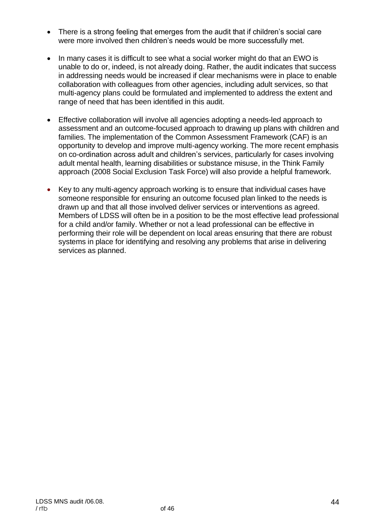- There is a strong feeling that emerges from the audit that if children's social care were more involved then children's needs would be more successfully met.
- In many cases it is difficult to see what a social worker might do that an EWO is unable to do or, indeed, is not already doing. Rather, the audit indicates that success in addressing needs would be increased if clear mechanisms were in place to enable collaboration with colleagues from other agencies, including adult services, so that multi-agency plans could be formulated and implemented to address the extent and range of need that has been identified in this audit.
- Effective collaboration will involve all agencies adopting a needs-led approach to assessment and an outcome-focused approach to drawing up plans with children and families. The implementation of the Common Assessment Framework (CAF) is an opportunity to develop and improve multi-agency working. The more recent emphasis on co-ordination across adult and children's services, particularly for cases involving adult mental health, learning disabilities or substance misuse, in the Think Family approach (2008 Social Exclusion Task Force) will also provide a helpful framework.
- Key to any multi-agency approach working is to ensure that individual cases have someone responsible for ensuring an outcome focused plan linked to the needs is drawn up and that all those involved deliver services or interventions as agreed. Members of LDSS will often be in a position to be the most effective lead professional for a child and/or family. Whether or not a lead professional can be effective in performing their role will be dependent on local areas ensuring that there are robust systems in place for identifying and resolving any problems that arise in delivering services as planned.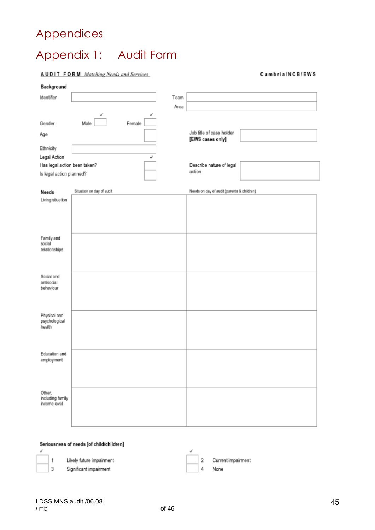## Appendices

# Appendix 1: Audit Form

**AUDIT FORM** Matching Needs and Services

#### Cumbria/NCB/EWS

| Background                   |                           |        |      |                                              |  |
|------------------------------|---------------------------|--------|------|----------------------------------------------|--|
| Identifier                   |                           |        | Team |                                              |  |
|                              |                           |        | Area |                                              |  |
|                              |                           | س      |      |                                              |  |
| Gender                       | Male                      | Female |      |                                              |  |
| Age                          |                           |        |      | Job title of case holder<br>[EWS cases only] |  |
| Ethnicity                    |                           |        |      |                                              |  |
| Legal Action                 |                           |        |      |                                              |  |
| Has legal action been taken? |                           |        |      | Describe nature of legal                     |  |
| Is legal action planned?     |                           |        |      | action                                       |  |
| Needs                        | Situation on day of audit |        |      | Needs on day of audit (parents & children)   |  |
| Living situation             |                           |        |      |                                              |  |
|                              |                           |        |      |                                              |  |
|                              |                           |        |      |                                              |  |
|                              |                           |        |      |                                              |  |
| Family and                   |                           |        |      |                                              |  |
| social                       |                           |        |      |                                              |  |
| relationships                |                           |        |      |                                              |  |
|                              |                           |        |      |                                              |  |
|                              |                           |        |      |                                              |  |
| Social and<br>antisocial     |                           |        |      |                                              |  |
| behaviour                    |                           |        |      |                                              |  |
|                              |                           |        |      |                                              |  |
|                              |                           |        |      |                                              |  |
| Physical and                 |                           |        |      |                                              |  |
| psychological                |                           |        |      |                                              |  |
| health                       |                           |        |      |                                              |  |
|                              |                           |        |      |                                              |  |
|                              |                           |        |      |                                              |  |
| Education and                |                           |        |      |                                              |  |
| employment                   |                           |        |      |                                              |  |
|                              |                           |        |      |                                              |  |
|                              |                           |        |      |                                              |  |
| Other,                       |                           |        |      |                                              |  |
| including family             |                           |        |      |                                              |  |
| income level                 |                           |        |      |                                              |  |
|                              |                           |        |      |                                              |  |
|                              |                           |        |      |                                              |  |

#### Seriousness of needs [of child/children]